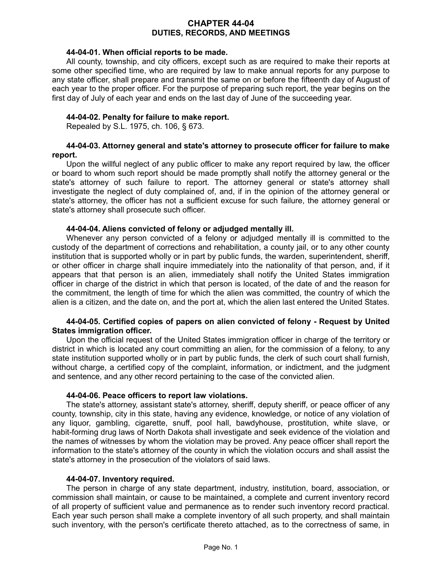## **CHAPTER 44-04 DUTIES, RECORDS, AND MEETINGS**

#### **44-04-01. When official reports to be made.**

All county, township, and city officers, except such as are required to make their reports at some other specified time, who are required by law to make annual reports for any purpose to any state officer, shall prepare and transmit the same on or before the fifteenth day of August of each year to the proper officer. For the purpose of preparing such report, the year begins on the first day of July of each year and ends on the last day of June of the succeeding year.

## **44-04-02. Penalty for failure to make report.**

Repealed by S.L. 1975, ch. 106, § 673.

### **44-04-03. Attorney general and state's attorney to prosecute officer for failure to make report.**

Upon the willful neglect of any public officer to make any report required by law, the officer or board to whom such report should be made promptly shall notify the attorney general or the state's attorney of such failure to report. The attorney general or state's attorney shall investigate the neglect of duty complained of, and, if in the opinion of the attorney general or state's attorney, the officer has not a sufficient excuse for such failure, the attorney general or state's attorney shall prosecute such officer.

### **44-04-04. Aliens convicted of felony or adjudged mentally ill.**

Whenever any person convicted of a felony or adjudged mentally ill is committed to the custody of the department of corrections and rehabilitation, a county jail, or to any other county institution that is supported wholly or in part by public funds, the warden, superintendent, sheriff, or other officer in charge shall inquire immediately into the nationality of that person, and, if it appears that that person is an alien, immediately shall notify the United States immigration officer in charge of the district in which that person is located, of the date of and the reason for the commitment, the length of time for which the alien was committed, the country of which the alien is a citizen, and the date on, and the port at, which the alien last entered the United States.

### **44-04-05. Certified copies of papers on alien convicted of felony - Request by United States immigration officer.**

Upon the official request of the United States immigration officer in charge of the territory or district in which is located any court committing an alien, for the commission of a felony, to any state institution supported wholly or in part by public funds, the clerk of such court shall furnish, without charge, a certified copy of the complaint, information, or indictment, and the judgment and sentence, and any other record pertaining to the case of the convicted alien.

### **44-04-06. Peace officers to report law violations.**

The state's attorney, assistant state's attorney, sheriff, deputy sheriff, or peace officer of any county, township, city in this state, having any evidence, knowledge, or notice of any violation of any liquor, gambling, cigarette, snuff, pool hall, bawdyhouse, prostitution, white slave, or habit-forming drug laws of North Dakota shall investigate and seek evidence of the violation and the names of witnesses by whom the violation may be proved. Any peace officer shall report the information to the state's attorney of the county in which the violation occurs and shall assist the state's attorney in the prosecution of the violators of said laws.

### **44-04-07. Inventory required.**

The person in charge of any state department, industry, institution, board, association, or commission shall maintain, or cause to be maintained, a complete and current inventory record of all property of sufficient value and permanence as to render such inventory record practical. Each year such person shall make a complete inventory of all such property, and shall maintain such inventory, with the person's certificate thereto attached, as to the correctness of same, in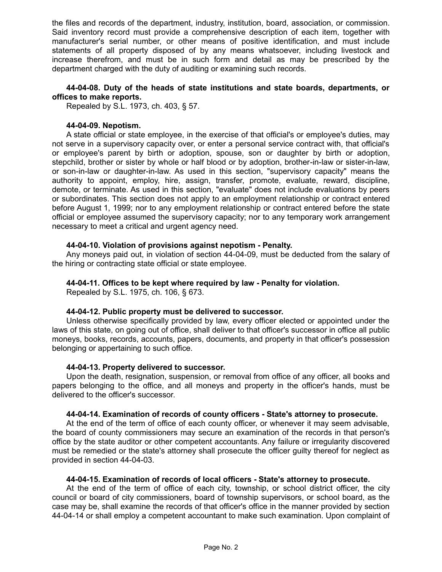the files and records of the department, industry, institution, board, association, or commission. Said inventory record must provide a comprehensive description of each item, together with manufacturer's serial number, or other means of positive identification, and must include statements of all property disposed of by any means whatsoever, including livestock and increase therefrom, and must be in such form and detail as may be prescribed by the department charged with the duty of auditing or examining such records.

## **44-04-08. Duty of the heads of state institutions and state boards, departments, or offices to make reports.**

Repealed by S.L. 1973, ch. 403, § 57.

### **44-04-09. Nepotism.**

A state official or state employee, in the exercise of that official's or employee's duties, may not serve in a supervisory capacity over, or enter a personal service contract with, that official's or employee's parent by birth or adoption, spouse, son or daughter by birth or adoption, stepchild, brother or sister by whole or half blood or by adoption, brother-in-law or sister-in-law, or son-in-law or daughter-in-law. As used in this section, "supervisory capacity" means the authority to appoint, employ, hire, assign, transfer, promote, evaluate, reward, discipline, demote, or terminate. As used in this section, "evaluate" does not include evaluations by peers or subordinates. This section does not apply to an employment relationship or contract entered before August 1, 1999; nor to any employment relationship or contract entered before the state official or employee assumed the supervisory capacity; nor to any temporary work arrangement necessary to meet a critical and urgent agency need.

## **44-04-10. Violation of provisions against nepotism - Penalty.**

Any moneys paid out, in violation of section 44-04-09, must be deducted from the salary of the hiring or contracting state official or state employee.

## **44-04-11. Offices to be kept where required by law - Penalty for violation.**

Repealed by S.L. 1975, ch. 106, § 673.

### **44-04-12. Public property must be delivered to successor.**

Unless otherwise specifically provided by law, every officer elected or appointed under the laws of this state, on going out of office, shall deliver to that officer's successor in office all public moneys, books, records, accounts, papers, documents, and property in that officer's possession belonging or appertaining to such office.

# **44-04-13. Property delivered to successor.**

Upon the death, resignation, suspension, or removal from office of any officer, all books and papers belonging to the office, and all moneys and property in the officer's hands, must be delivered to the officer's successor.

# **44-04-14. Examination of records of county officers - State's attorney to prosecute.**

At the end of the term of office of each county officer, or whenever it may seem advisable, the board of county commissioners may secure an examination of the records in that person's office by the state auditor or other competent accountants. Any failure or irregularity discovered must be remedied or the state's attorney shall prosecute the officer guilty thereof for neglect as provided in section 44-04-03.

### **44-04-15. Examination of records of local officers - State's attorney to prosecute.**

At the end of the term of office of each city, township, or school district officer, the city council or board of city commissioners, board of township supervisors, or school board, as the case may be, shall examine the records of that officer's office in the manner provided by section 44-04-14 or shall employ a competent accountant to make such examination. Upon complaint of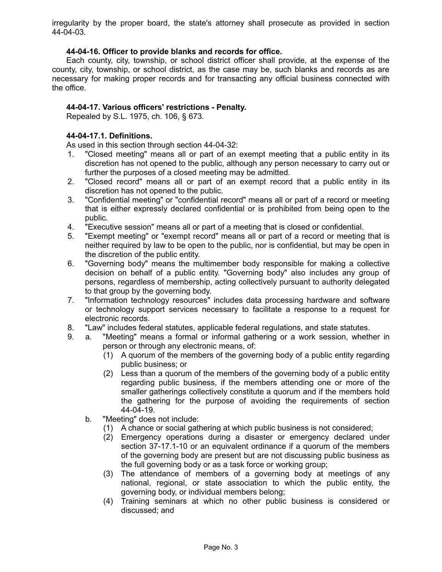irregularity by the proper board, the state's attorney shall prosecute as provided in section 44-04-03.

### **44-04-16. Officer to provide blanks and records for office.**

Each county, city, township, or school district officer shall provide, at the expense of the county, city, township, or school district, as the case may be, such blanks and records as are necessary for making proper records and for transacting any official business connected with the office.

## **44-04-17. Various officers' restrictions - Penalty.**

Repealed by S.L. 1975, ch. 106, § 673.

## **44-04-17.1. Definitions.**

As used in this section through section 44-04-32:

- 1. "Closed meeting" means all or part of an exempt meeting that a public entity in its discretion has not opened to the public, although any person necessary to carry out or further the purposes of a closed meeting may be admitted.
- 2. "Closed record" means all or part of an exempt record that a public entity in its discretion has not opened to the public.
- 3. "Confidential meeting" or "confidential record" means all or part of a record or meeting that is either expressly declared confidential or is prohibited from being open to the public.
- 4. "Executive session" means all or part of a meeting that is closed or confidential.
- 5. "Exempt meeting" or "exempt record" means all or part of a record or meeting that is neither required by law to be open to the public, nor is confidential, but may be open in the discretion of the public entity.
- 6. "Governing body" means the multimember body responsible for making a collective decision on behalf of a public entity. "Governing body" also includes any group of persons, regardless of membership, acting collectively pursuant to authority delegated to that group by the governing body.
- 7. "Information technology resources" includes data processing hardware and software or technology support services necessary to facilitate a response to a request for electronic records.
- 8. "Law" includes federal statutes, applicable federal regulations, and state statutes.
- 9. a. "Meeting" means a formal or informal gathering or a work session, whether in person or through any electronic means, of:
	- (1) A quorum of the members of the governing body of a public entity regarding public business; or
	- (2) Less than a quorum of the members of the governing body of a public entity regarding public business, if the members attending one or more of the smaller gatherings collectively constitute a quorum and if the members hold the gathering for the purpose of avoiding the requirements of section 44-04-19.
	- b. "Meeting" does not include:
		- (1) A chance or social gathering at which public business is not considered;
		- (2) Emergency operations during a disaster or emergency declared under section 37-17.1-10 or an equivalent ordinance if a quorum of the members of the governing body are present but are not discussing public business as the full governing body or as a task force or working group;
		- (3) The attendance of members of a governing body at meetings of any national, regional, or state association to which the public entity, the governing body, or individual members belong;
		- (4) Training seminars at which no other public business is considered or discussed; and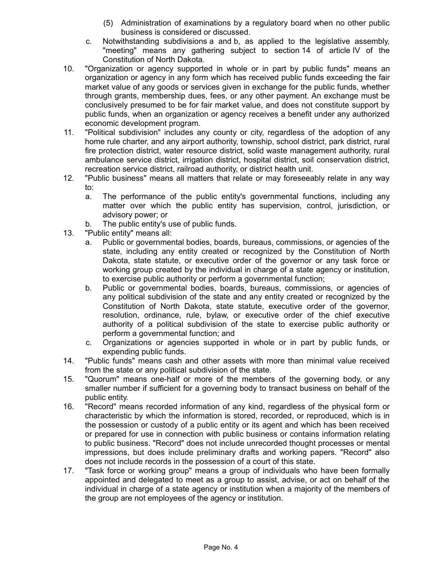- (5) Administration of examinations by a regulatory board when no other public business is considered or discussed.
- c. Notwithstanding subdivisions a and b, as applied to the legislative assembly, "meeting" means any gathering subject to section 14 of article IV of the Constitution of North Dakota.
- 10. "Organization or agency supported in whole or in part by public funds" means an organization or agency in any form which has received public funds exceeding the fair market value of any goods or services given in exchange for the public funds, whether through grants, membership dues, fees, or any other payment. An exchange must be conclusively presumed to be for fair market value, and does not constitute support by public funds, when an organization or agency receives a benefit under any authorized economic development program.
- 11. "Political subdivision" includes any county or city, regardless of the adoption of any home rule charter, and any airport authority, township, school district, park district, rural fire protection district, water resource district, solid waste management authority, rural ambulance service district, irrigation district, hospital district, soil conservation district, recreation service district, railroad authority, or district health unit.
- 12. "Public business" means all matters that relate or may foreseeably relate in any way to:
	- a. The performance of the public entity's governmental functions, including any matter over which the public entity has supervision, control, jurisdiction, or advisory power; or
	- b. The public entity's use of public funds.
- 13. "Public entity" means all:
	- a. Public or governmental bodies, boards, bureaus, commissions, or agencies of the state, including any entity created or recognized by the Constitution of North Dakota, state statute, or executive order of the governor or any task force or working group created by the individual in charge of a state agency or institution, to exercise public authority or perform a governmental function;
	- b. Public or governmental bodies, boards, bureaus, commissions, or agencies of any political subdivision of the state and any entity created or recognized by the Constitution of North Dakota, state statute, executive order of the governor, resolution, ordinance, rule, bylaw, or executive order of the chief executive authority of a political subdivision of the state to exercise public authority or perform a governmental function; and
	- c. Organizations or agencies supported in whole or in part by public funds, or expending public funds.
- 14. "Public funds" means cash and other assets with more than minimal value received from the state or any political subdivision of the state.
- 15. "Quorum" means one-half or more of the members of the governing body, or any smaller number if sufficient for a governing body to transact business on behalf of the public entity.
- 16. "Record" means recorded information of any kind, regardless of the physical form or characteristic by which the information is stored, recorded, or reproduced, which is in the possession or custody of a public entity or its agent and which has been received or prepared for use in connection with public business or contains information relating to public business. "Record" does not include unrecorded thought processes or mental impressions, but does include preliminary drafts and working papers. "Record" also does not include records in the possession of a court of this state.
- 17. "Task force or working group" means a group of individuals who have been formally appointed and delegated to meet as a group to assist, advise, or act on behalf of the individual in charge of a state agency or institution when a majority of the members of the group are not employees of the agency or institution.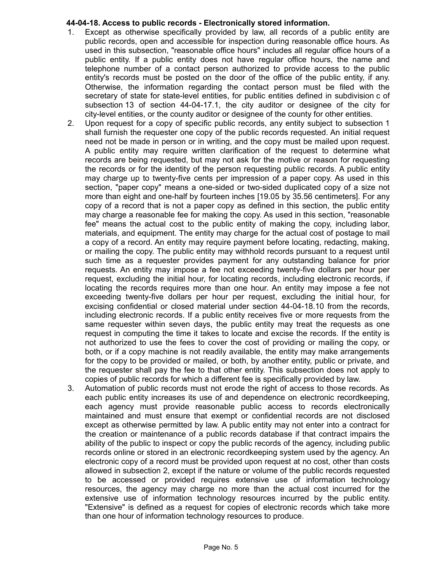## **44-04-18. Access to public records - Electronically stored information.**

- 1. Except as otherwise specifically provided by law, all records of a public entity are public records, open and accessible for inspection during reasonable office hours. As used in this subsection, "reasonable office hours" includes all regular office hours of a public entity. If a public entity does not have regular office hours, the name and telephone number of a contact person authorized to provide access to the public entity's records must be posted on the door of the office of the public entity, if any. Otherwise, the information regarding the contact person must be filed with the secretary of state for state-level entities, for public entities defined in subdivision c of subsection 13 of section 44-04-17.1, the city auditor or designee of the city for city-level entities, or the county auditor or designee of the county for other entities.
- 2. Upon request for a copy of specific public records, any entity subject to subsection 1 shall furnish the requester one copy of the public records requested. An initial request need not be made in person or in writing, and the copy must be mailed upon request. A public entity may require written clarification of the request to determine what records are being requested, but may not ask for the motive or reason for requesting the records or for the identity of the person requesting public records. A public entity may charge up to twenty-five cents per impression of a paper copy. As used in this section, "paper copy" means a one-sided or two-sided duplicated copy of a size not more than eight and one-half by fourteen inches [19.05 by 35.56 centimeters]. For any copy of a record that is not a paper copy as defined in this section, the public entity may charge a reasonable fee for making the copy. As used in this section, "reasonable fee" means the actual cost to the public entity of making the copy, including labor, materials, and equipment. The entity may charge for the actual cost of postage to mail a copy of a record. An entity may require payment before locating, redacting, making, or mailing the copy. The public entity may withhold records pursuant to a request until such time as a requester provides payment for any outstanding balance for prior requests. An entity may impose a fee not exceeding twenty-five dollars per hour per request, excluding the initial hour, for locating records, including electronic records, if locating the records requires more than one hour. An entity may impose a fee not exceeding twenty-five dollars per hour per request, excluding the initial hour, for excising confidential or closed material under section 44-04-18.10 from the records, including electronic records. If a public entity receives five or more requests from the same requester within seven days, the public entity may treat the requests as one request in computing the time it takes to locate and excise the records. If the entity is not authorized to use the fees to cover the cost of providing or mailing the copy, or both, or if a copy machine is not readily available, the entity may make arrangements for the copy to be provided or mailed, or both, by another entity, public or private, and the requester shall pay the fee to that other entity. This subsection does not apply to copies of public records for which a different fee is specifically provided by law.
- 3. Automation of public records must not erode the right of access to those records. As each public entity increases its use of and dependence on electronic recordkeeping, each agency must provide reasonable public access to records electronically maintained and must ensure that exempt or confidential records are not disclosed except as otherwise permitted by law. A public entity may not enter into a contract for the creation or maintenance of a public records database if that contract impairs the ability of the public to inspect or copy the public records of the agency, including public records online or stored in an electronic recordkeeping system used by the agency. An electronic copy of a record must be provided upon request at no cost, other than costs allowed in subsection 2, except if the nature or volume of the public records requested to be accessed or provided requires extensive use of information technology resources, the agency may charge no more than the actual cost incurred for the extensive use of information technology resources incurred by the public entity. "Extensive" is defined as a request for copies of electronic records which take more than one hour of information technology resources to produce.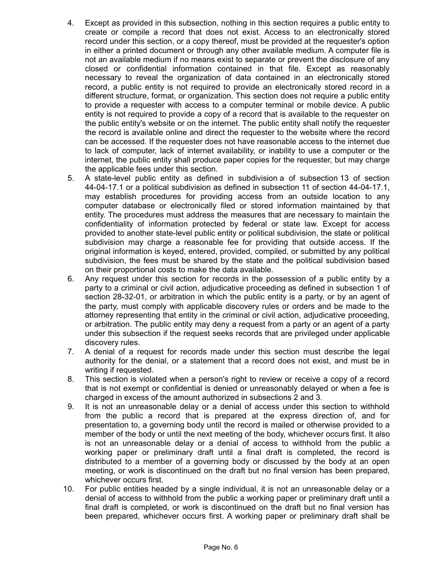- 4. Except as provided in this subsection, nothing in this section requires a public entity to create or compile a record that does not exist. Access to an electronically stored record under this section, or a copy thereof, must be provided at the requester's option in either a printed document or through any other available medium. A computer file is not an available medium if no means exist to separate or prevent the disclosure of any closed or confidential information contained in that file. Except as reasonably necessary to reveal the organization of data contained in an electronically stored record, a public entity is not required to provide an electronically stored record in a different structure, format, or organization. This section does not require a public entity to provide a requester with access to a computer terminal or mobile device. A public entity is not required to provide a copy of a record that is available to the requester on the public entity's website or on the internet. The public entity shall notify the requester the record is available online and direct the requester to the website where the record can be accessed. If the requester does not have reasonable access to the internet due to lack of computer, lack of internet availability, or inability to use a computer or the internet, the public entity shall produce paper copies for the requester, but may charge the applicable fees under this section.
- 5. A state-level public entity as defined in subdivision a of subsection 13 of section 44-04-17.1 or a political subdivision as defined in subsection 11 of section 44-04-17.1, may establish procedures for providing access from an outside location to any computer database or electronically filed or stored information maintained by that entity. The procedures must address the measures that are necessary to maintain the confidentiality of information protected by federal or state law. Except for access provided to another state-level public entity or political subdivision, the state or political subdivision may charge a reasonable fee for providing that outside access. If the original information is keyed, entered, provided, compiled, or submitted by any political subdivision, the fees must be shared by the state and the political subdivision based on their proportional costs to make the data available.
- 6. Any request under this section for records in the possession of a public entity by a party to a criminal or civil action, adjudicative proceeding as defined in subsection 1 of section 28-32-01, or arbitration in which the public entity is a party, or by an agent of the party, must comply with applicable discovery rules or orders and be made to the attorney representing that entity in the criminal or civil action, adjudicative proceeding, or arbitration. The public entity may deny a request from a party or an agent of a party under this subsection if the request seeks records that are privileged under applicable discovery rules.
- 7. A denial of a request for records made under this section must describe the legal authority for the denial, or a statement that a record does not exist, and must be in writing if requested.
- 8. This section is violated when a person's right to review or receive a copy of a record that is not exempt or confidential is denied or unreasonably delayed or when a fee is charged in excess of the amount authorized in subsections 2 and 3.
- 9. It is not an unreasonable delay or a denial of access under this section to withhold from the public a record that is prepared at the express direction of, and for presentation to, a governing body until the record is mailed or otherwise provided to a member of the body or until the next meeting of the body, whichever occurs first. It also is not an unreasonable delay or a denial of access to withhold from the public a working paper or preliminary draft until a final draft is completed, the record is distributed to a member of a governing body or discussed by the body at an open meeting, or work is discontinued on the draft but no final version has been prepared, whichever occurs first.
- 10. For public entities headed by a single individual, it is not an unreasonable delay or a denial of access to withhold from the public a working paper or preliminary draft until a final draft is completed, or work is discontinued on the draft but no final version has been prepared, whichever occurs first. A working paper or preliminary draft shall be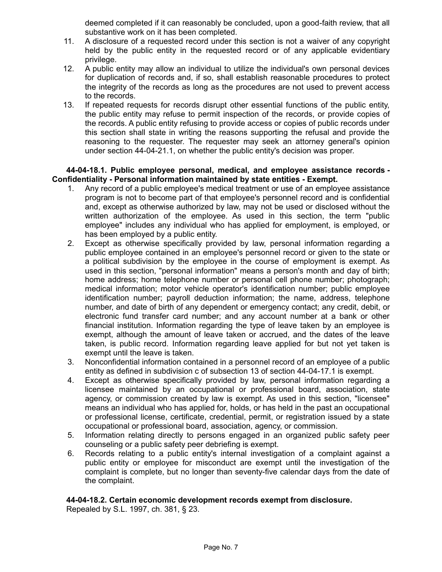deemed completed if it can reasonably be concluded, upon a good-faith review, that all substantive work on it has been completed.

- 11. A disclosure of a requested record under this section is not a waiver of any copyright held by the public entity in the requested record or of any applicable evidentiary privilege.
- 12. A public entity may allow an individual to utilize the individual's own personal devices for duplication of records and, if so, shall establish reasonable procedures to protect the integrity of the records as long as the procedures are not used to prevent access to the records.
- 13. If repeated requests for records disrupt other essential functions of the public entity, the public entity may refuse to permit inspection of the records, or provide copies of the records. A public entity refusing to provide access or copies of public records under this section shall state in writing the reasons supporting the refusal and provide the reasoning to the requester. The requester may seek an attorney general's opinion under section 44-04-21.1, on whether the public entity's decision was proper.

**44-04-18.1. Public employee personal, medical, and employee assistance records - Confidentiality - Personal information maintained by state entities - Exempt.**

- 1. Any record of a public employee's medical treatment or use of an employee assistance program is not to become part of that employee's personnel record and is confidential and, except as otherwise authorized by law, may not be used or disclosed without the written authorization of the employee. As used in this section, the term "public employee" includes any individual who has applied for employment, is employed, or has been employed by a public entity.
- 2. Except as otherwise specifically provided by law, personal information regarding a public employee contained in an employee's personnel record or given to the state or a political subdivision by the employee in the course of employment is exempt. As used in this section, "personal information" means a person's month and day of birth; home address; home telephone number or personal cell phone number; photograph; medical information; motor vehicle operator's identification number; public employee identification number; payroll deduction information; the name, address, telephone number, and date of birth of any dependent or emergency contact; any credit, debit, or electronic fund transfer card number; and any account number at a bank or other financial institution. Information regarding the type of leave taken by an employee is exempt, although the amount of leave taken or accrued, and the dates of the leave taken, is public record. Information regarding leave applied for but not yet taken is exempt until the leave is taken.
- 3. Nonconfidential information contained in a personnel record of an employee of a public entity as defined in subdivision c of subsection 13 of section 44-04-17.1 is exempt.
- 4. Except as otherwise specifically provided by law, personal information regarding a licensee maintained by an occupational or professional board, association, state agency, or commission created by law is exempt. As used in this section, "licensee" means an individual who has applied for, holds, or has held in the past an occupational or professional license, certificate, credential, permit, or registration issued by a state occupational or professional board, association, agency, or commission.
- 5. Information relating directly to persons engaged in an organized public safety peer counseling or a public safety peer debriefing is exempt.
- 6. Records relating to a public entity's internal investigation of a complaint against a public entity or employee for misconduct are exempt until the investigation of the complaint is complete, but no longer than seventy-five calendar days from the date of the complaint.

### **44-04-18.2. Certain economic development records exempt from disclosure.**

Repealed by S.L. 1997, ch. 381, § 23.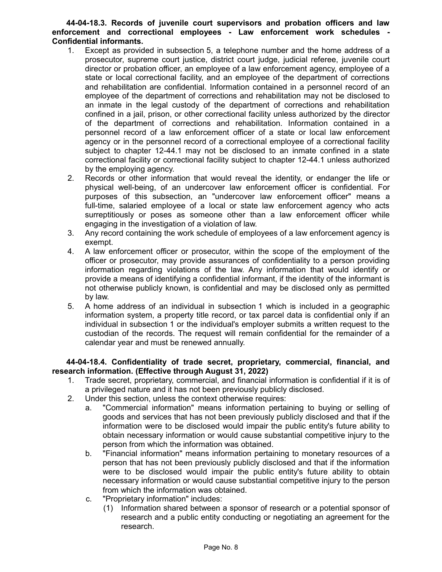## **44-04-18.3. Records of juvenile court supervisors and probation officers and law enforcement and correctional employees - Law enforcement work schedules - Confidential informants.**

- 1. Except as provided in subsection 5, a telephone number and the home address of a prosecutor, supreme court justice, district court judge, judicial referee, juvenile court director or probation officer, an employee of a law enforcement agency, employee of a state or local correctional facility, and an employee of the department of corrections and rehabilitation are confidential. Information contained in a personnel record of an employee of the department of corrections and rehabilitation may not be disclosed to an inmate in the legal custody of the department of corrections and rehabilitation confined in a jail, prison, or other correctional facility unless authorized by the director of the department of corrections and rehabilitation. Information contained in a personnel record of a law enforcement officer of a state or local law enforcement agency or in the personnel record of a correctional employee of a correctional facility subject to chapter 12-44.1 may not be disclosed to an inmate confined in a state correctional facility or correctional facility subject to chapter 12-44.1 unless authorized by the employing agency.
- 2. Records or other information that would reveal the identity, or endanger the life or physical well-being, of an undercover law enforcement officer is confidential. For purposes of this subsection, an "undercover law enforcement officer" means a full-time, salaried employee of a local or state law enforcement agency who acts surreptitiously or poses as someone other than a law enforcement officer while engaging in the investigation of a violation of law.
- 3. Any record containing the work schedule of employees of a law enforcement agency is exempt.
- 4. A law enforcement officer or prosecutor, within the scope of the employment of the officer or prosecutor, may provide assurances of confidentiality to a person providing information regarding violations of the law. Any information that would identify or provide a means of identifying a confidential informant, if the identity of the informant is not otherwise publicly known, is confidential and may be disclosed only as permitted by law.
- 5. A home address of an individual in subsection 1 which is included in a geographic information system, a property title record, or tax parcel data is confidential only if an individual in subsection 1 or the individual's employer submits a written request to the custodian of the records. The request will remain confidential for the remainder of a calendar year and must be renewed annually.

## **44-04-18.4. Confidentiality of trade secret, proprietary, commercial, financial, and research information. (Effective through August 31, 2022)**

- 1. Trade secret, proprietary, commercial, and financial information is confidential if it is of a privileged nature and it has not been previously publicly disclosed.
- 2. Under this section, unless the context otherwise requires:
	- a. "Commercial information" means information pertaining to buying or selling of goods and services that has not been previously publicly disclosed and that if the information were to be disclosed would impair the public entity's future ability to obtain necessary information or would cause substantial competitive injury to the person from which the information was obtained.
	- b. "Financial information" means information pertaining to monetary resources of a person that has not been previously publicly disclosed and that if the information were to be disclosed would impair the public entity's future ability to obtain necessary information or would cause substantial competitive injury to the person from which the information was obtained.
	- c. "Proprietary information" includes:
		- (1) Information shared between a sponsor of research or a potential sponsor of research and a public entity conducting or negotiating an agreement for the research.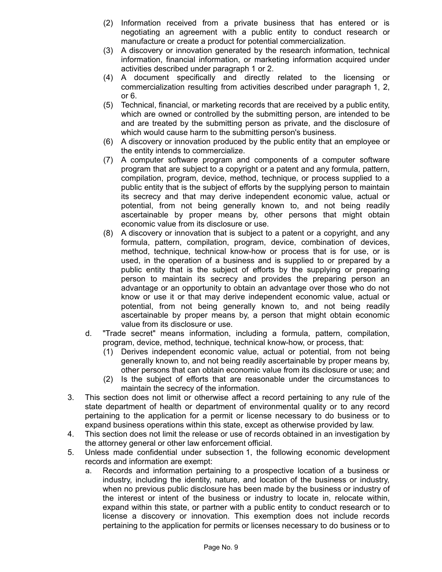- (2) Information received from a private business that has entered or is negotiating an agreement with a public entity to conduct research or manufacture or create a product for potential commercialization.
- (3) A discovery or innovation generated by the research information, technical information, financial information, or marketing information acquired under activities described under paragraph 1 or 2.
- (4) A document specifically and directly related to the licensing or commercialization resulting from activities described under paragraph 1, 2, or 6.
- (5) Technical, financial, or marketing records that are received by a public entity, which are owned or controlled by the submitting person, are intended to be and are treated by the submitting person as private, and the disclosure of which would cause harm to the submitting person's business.
- (6) A discovery or innovation produced by the public entity that an employee or the entity intends to commercialize.
- (7) A computer software program and components of a computer software program that are subject to a copyright or a patent and any formula, pattern, compilation, program, device, method, technique, or process supplied to a public entity that is the subject of efforts by the supplying person to maintain its secrecy and that may derive independent economic value, actual or potential, from not being generally known to, and not being readily ascertainable by proper means by, other persons that might obtain economic value from its disclosure or use.
- (8) A discovery or innovation that is subject to a patent or a copyright, and any formula, pattern, compilation, program, device, combination of devices, method, technique, technical know-how or process that is for use, or is used, in the operation of a business and is supplied to or prepared by a public entity that is the subject of efforts by the supplying or preparing person to maintain its secrecy and provides the preparing person an advantage or an opportunity to obtain an advantage over those who do not know or use it or that may derive independent economic value, actual or potential, from not being generally known to, and not being readily ascertainable by proper means by, a person that might obtain economic value from its disclosure or use.
- d. "Trade secret" means information, including a formula, pattern, compilation, program, device, method, technique, technical know-how, or process, that:
	- (1) Derives independent economic value, actual or potential, from not being generally known to, and not being readily ascertainable by proper means by, other persons that can obtain economic value from its disclosure or use; and
	- (2) Is the subject of efforts that are reasonable under the circumstances to maintain the secrecy of the information.
- 3. This section does not limit or otherwise affect a record pertaining to any rule of the state department of health or department of environmental quality or to any record pertaining to the application for a permit or license necessary to do business or to expand business operations within this state, except as otherwise provided by law.
- 4. This section does not limit the release or use of records obtained in an investigation by the attorney general or other law enforcement official.
- 5. Unless made confidential under subsection 1, the following economic development records and information are exempt:
	- a. Records and information pertaining to a prospective location of a business or industry, including the identity, nature, and location of the business or industry, when no previous public disclosure has been made by the business or industry of the interest or intent of the business or industry to locate in, relocate within, expand within this state, or partner with a public entity to conduct research or to license a discovery or innovation. This exemption does not include records pertaining to the application for permits or licenses necessary to do business or to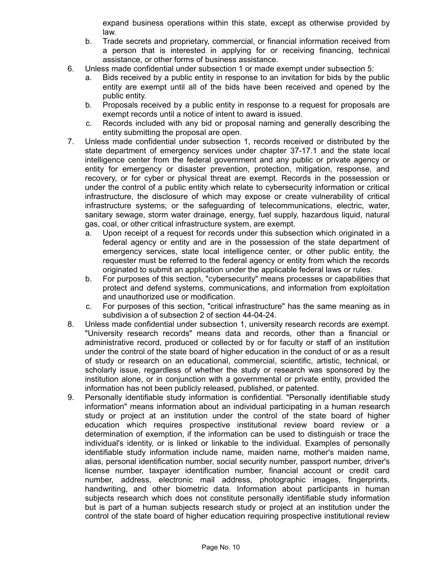expand business operations within this state, except as otherwise provided by law.

- b. Trade secrets and proprietary, commercial, or financial information received from a person that is interested in applying for or receiving financing, technical assistance, or other forms of business assistance.
- 6. Unless made confidential under subsection 1 or made exempt under subsection 5:
	- a. Bids received by a public entity in response to an invitation for bids by the public entity are exempt until all of the bids have been received and opened by the public entity.
	- b. Proposals received by a public entity in response to a request for proposals are exempt records until a notice of intent to award is issued.
	- c. Records included with any bid or proposal naming and generally describing the entity submitting the proposal are open.
- 7. Unless made confidential under subsection 1, records received or distributed by the state department of emergency services under chapter 37-17.1 and the state local intelligence center from the federal government and any public or private agency or entity for emergency or disaster prevention, protection, mitigation, response, and recovery, or for cyber or physical threat are exempt. Records in the possession or under the control of a public entity which relate to cybersecurity information or critical infrastructure, the disclosure of which may expose or create vulnerability of critical infrastructure systems; or the safeguarding of telecommunications, electric, water, sanitary sewage, storm water drainage, energy, fuel supply, hazardous liquid, natural gas, coal, or other critical infrastructure system, are exempt.
	- a. Upon receipt of a request for records under this subsection which originated in a federal agency or entity and are in the possession of the state department of emergency services, state local intelligence center, or other public entity, the requester must be referred to the federal agency or entity from which the records originated to submit an application under the applicable federal laws or rules.
	- b. For purposes of this section, "cybersecurity" means processes or capabilities that protect and defend systems, communications, and information from exploitation and unauthorized use or modification.
	- c. For purposes of this section, "critical infrastructure" has the same meaning as in subdivision a of subsection 2 of section 44-04-24.
- 8. Unless made confidential under subsection 1, university research records are exempt. "University research records" means data and records, other than a financial or administrative record, produced or collected by or for faculty or staff of an institution under the control of the state board of higher education in the conduct of or as a result of study or research on an educational, commercial, scientific, artistic, technical, or scholarly issue, regardless of whether the study or research was sponsored by the institution alone, or in conjunction with a governmental or private entity, provided the information has not been publicly released, published, or patented.
- 9. Personally identifiable study information is confidential. "Personally identifiable study information" means information about an individual participating in a human research study or project at an institution under the control of the state board of higher education which requires prospective institutional review board review or a determination of exemption, if the information can be used to distinguish or trace the individual's identity, or is linked or linkable to the individual. Examples of personally identifiable study information include name, maiden name, mother's maiden name, alias, personal identification number, social security number, passport number, driver's license number, taxpayer identification number, financial account or credit card number, address, electronic mail address, photographic images, fingerprints, handwriting, and other biometric data. Information about participants in human subjects research which does not constitute personally identifiable study information but is part of a human subjects research study or project at an institution under the control of the state board of higher education requiring prospective institutional review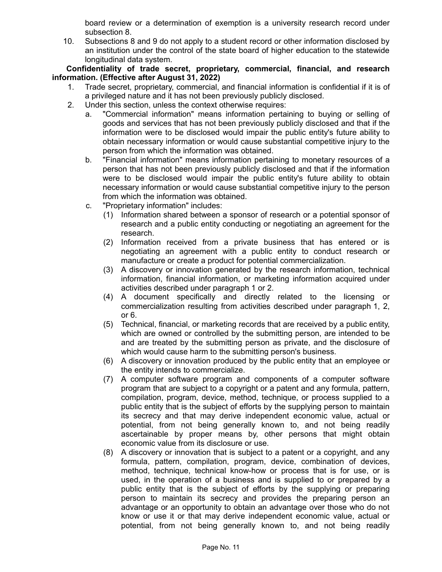board review or a determination of exemption is a university research record under subsection 8.

10. Subsections 8 and 9 do not apply to a student record or other information disclosed by an institution under the control of the state board of higher education to the statewide longitudinal data system.

**Confidentiality of trade secret, proprietary, commercial, financial, and research information. (Effective after August 31, 2022)**

- 1. Trade secret, proprietary, commercial, and financial information is confidential if it is of a privileged nature and it has not been previously publicly disclosed.
- 2. Under this section, unless the context otherwise requires:
	- a. "Commercial information" means information pertaining to buying or selling of goods and services that has not been previously publicly disclosed and that if the information were to be disclosed would impair the public entity's future ability to obtain necessary information or would cause substantial competitive injury to the person from which the information was obtained.
	- b. "Financial information" means information pertaining to monetary resources of a person that has not been previously publicly disclosed and that if the information were to be disclosed would impair the public entity's future ability to obtain necessary information or would cause substantial competitive injury to the person from which the information was obtained.
	- c. "Proprietary information" includes:
		- (1) Information shared between a sponsor of research or a potential sponsor of research and a public entity conducting or negotiating an agreement for the research.
		- (2) Information received from a private business that has entered or is negotiating an agreement with a public entity to conduct research or manufacture or create a product for potential commercialization.
		- (3) A discovery or innovation generated by the research information, technical information, financial information, or marketing information acquired under activities described under paragraph 1 or 2.
		- (4) A document specifically and directly related to the licensing or commercialization resulting from activities described under paragraph 1, 2, or 6.
		- (5) Technical, financial, or marketing records that are received by a public entity, which are owned or controlled by the submitting person, are intended to be and are treated by the submitting person as private, and the disclosure of which would cause harm to the submitting person's business.
		- (6) A discovery or innovation produced by the public entity that an employee or the entity intends to commercialize.
		- (7) A computer software program and components of a computer software program that are subject to a copyright or a patent and any formula, pattern, compilation, program, device, method, technique, or process supplied to a public entity that is the subject of efforts by the supplying person to maintain its secrecy and that may derive independent economic value, actual or potential, from not being generally known to, and not being readily ascertainable by proper means by, other persons that might obtain economic value from its disclosure or use.
		- (8) A discovery or innovation that is subject to a patent or a copyright, and any formula, pattern, compilation, program, device, combination of devices, method, technique, technical know-how or process that is for use, or is used, in the operation of a business and is supplied to or prepared by a public entity that is the subject of efforts by the supplying or preparing person to maintain its secrecy and provides the preparing person an advantage or an opportunity to obtain an advantage over those who do not know or use it or that may derive independent economic value, actual or potential, from not being generally known to, and not being readily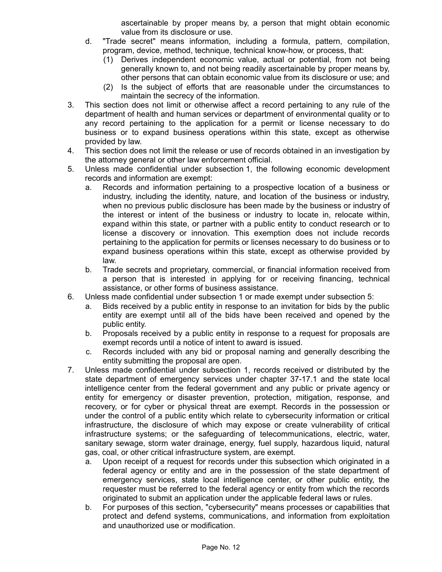ascertainable by proper means by, a person that might obtain economic value from its disclosure or use.

- d. "Trade secret" means information, including a formula, pattern, compilation, program, device, method, technique, technical know-how, or process, that:
	- (1) Derives independent economic value, actual or potential, from not being generally known to, and not being readily ascertainable by proper means by, other persons that can obtain economic value from its disclosure or use; and
	- (2) Is the subject of efforts that are reasonable under the circumstances to maintain the secrecy of the information.
- 3. This section does not limit or otherwise affect a record pertaining to any rule of the department of health and human services or department of environmental quality or to any record pertaining to the application for a permit or license necessary to do business or to expand business operations within this state, except as otherwise provided by law.
- 4. This section does not limit the release or use of records obtained in an investigation by the attorney general or other law enforcement official.
- 5. Unless made confidential under subsection 1, the following economic development records and information are exempt:
	- a. Records and information pertaining to a prospective location of a business or industry, including the identity, nature, and location of the business or industry, when no previous public disclosure has been made by the business or industry of the interest or intent of the business or industry to locate in, relocate within, expand within this state, or partner with a public entity to conduct research or to license a discovery or innovation. This exemption does not include records pertaining to the application for permits or licenses necessary to do business or to expand business operations within this state, except as otherwise provided by law.
	- b. Trade secrets and proprietary, commercial, or financial information received from a person that is interested in applying for or receiving financing, technical assistance, or other forms of business assistance.
- 6. Unless made confidential under subsection 1 or made exempt under subsection 5:
	- a. Bids received by a public entity in response to an invitation for bids by the public entity are exempt until all of the bids have been received and opened by the public entity.
	- b. Proposals received by a public entity in response to a request for proposals are exempt records until a notice of intent to award is issued.
	- c. Records included with any bid or proposal naming and generally describing the entity submitting the proposal are open.
- 7. Unless made confidential under subsection 1, records received or distributed by the state department of emergency services under chapter 37-17.1 and the state local intelligence center from the federal government and any public or private agency or entity for emergency or disaster prevention, protection, mitigation, response, and recovery, or for cyber or physical threat are exempt. Records in the possession or under the control of a public entity which relate to cybersecurity information or critical infrastructure, the disclosure of which may expose or create vulnerability of critical infrastructure systems; or the safeguarding of telecommunications, electric, water, sanitary sewage, storm water drainage, energy, fuel supply, hazardous liquid, natural gas, coal, or other critical infrastructure system, are exempt.
	- a. Upon receipt of a request for records under this subsection which originated in a federal agency or entity and are in the possession of the state department of emergency services, state local intelligence center, or other public entity, the requester must be referred to the federal agency or entity from which the records originated to submit an application under the applicable federal laws or rules.
	- b. For purposes of this section, "cybersecurity" means processes or capabilities that protect and defend systems, communications, and information from exploitation and unauthorized use or modification.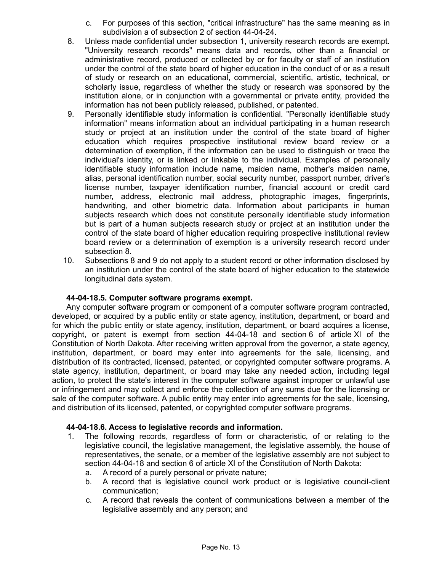- c. For purposes of this section, "critical infrastructure" has the same meaning as in subdivision a of subsection 2 of section 44-04-24.
- 8. Unless made confidential under subsection 1, university research records are exempt. "University research records" means data and records, other than a financial or administrative record, produced or collected by or for faculty or staff of an institution under the control of the state board of higher education in the conduct of or as a result of study or research on an educational, commercial, scientific, artistic, technical, or scholarly issue, regardless of whether the study or research was sponsored by the institution alone, or in conjunction with a governmental or private entity, provided the information has not been publicly released, published, or patented.
- 9. Personally identifiable study information is confidential. "Personally identifiable study information" means information about an individual participating in a human research study or project at an institution under the control of the state board of higher education which requires prospective institutional review board review or a determination of exemption, if the information can be used to distinguish or trace the individual's identity, or is linked or linkable to the individual. Examples of personally identifiable study information include name, maiden name, mother's maiden name, alias, personal identification number, social security number, passport number, driver's license number, taxpayer identification number, financial account or credit card number, address, electronic mail address, photographic images, fingerprints, handwriting, and other biometric data. Information about participants in human subjects research which does not constitute personally identifiable study information but is part of a human subjects research study or project at an institution under the control of the state board of higher education requiring prospective institutional review board review or a determination of exemption is a university research record under subsection 8.
- 10. Subsections 8 and 9 do not apply to a student record or other information disclosed by an institution under the control of the state board of higher education to the statewide longitudinal data system.

# **44-04-18.5. Computer software programs exempt.**

Any computer software program or component of a computer software program contracted, developed, or acquired by a public entity or state agency, institution, department, or board and for which the public entity or state agency, institution, department, or board acquires a license, copyright, or patent is exempt from section 44-04-18 and section 6 of article XI of the Constitution of North Dakota. After receiving written approval from the governor, a state agency, institution, department, or board may enter into agreements for the sale, licensing, and distribution of its contracted, licensed, patented, or copyrighted computer software programs. A state agency, institution, department, or board may take any needed action, including legal action, to protect the state's interest in the computer software against improper or unlawful use or infringement and may collect and enforce the collection of any sums due for the licensing or sale of the computer software. A public entity may enter into agreements for the sale, licensing, and distribution of its licensed, patented, or copyrighted computer software programs.

### **44-04-18.6. Access to legislative records and information.**

- 1. The following records, regardless of form or characteristic, of or relating to the legislative council, the legislative management, the legislative assembly, the house of representatives, the senate, or a member of the legislative assembly are not subject to section 44-04-18 and section 6 of article XI of the Constitution of North Dakota:
	- a. A record of a purely personal or private nature;
	- b. A record that is legislative council work product or is legislative council-client communication;
	- c. A record that reveals the content of communications between a member of the legislative assembly and any person; and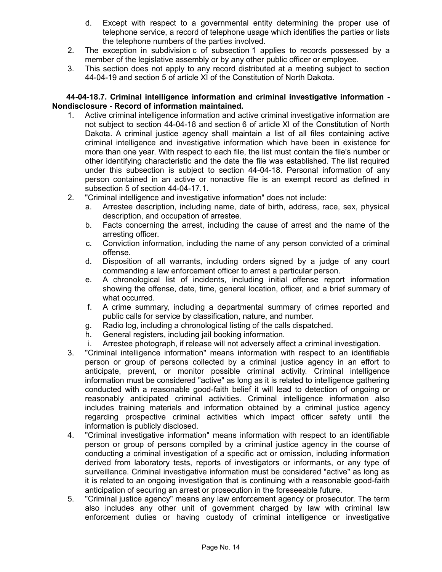- d. Except with respect to a governmental entity determining the proper use of telephone service, a record of telephone usage which identifies the parties or lists the telephone numbers of the parties involved.
- 2. The exception in subdivision c of subsection 1 applies to records possessed by a member of the legislative assembly or by any other public officer or employee.
- 3. This section does not apply to any record distributed at a meeting subject to section 44-04-19 and section 5 of article XI of the Constitution of North Dakota.

### **44-04-18.7. Criminal intelligence information and criminal investigative information - Nondisclosure - Record of information maintained.**

- 1. Active criminal intelligence information and active criminal investigative information are not subject to section 44-04-18 and section 6 of article XI of the Constitution of North Dakota. A criminal justice agency shall maintain a list of all files containing active criminal intelligence and investigative information which have been in existence for more than one year. With respect to each file, the list must contain the file's number or other identifying characteristic and the date the file was established. The list required under this subsection is subject to section 44-04-18. Personal information of any person contained in an active or nonactive file is an exempt record as defined in subsection 5 of section 44-04-17.1.
- 2. "Criminal intelligence and investigative information" does not include:
	- a. Arrestee description, including name, date of birth, address, race, sex, physical description, and occupation of arrestee.
	- b. Facts concerning the arrest, including the cause of arrest and the name of the arresting officer.
	- c. Conviction information, including the name of any person convicted of a criminal offense.
	- d. Disposition of all warrants, including orders signed by a judge of any court commanding a law enforcement officer to arrest a particular person.
	- e. A chronological list of incidents, including initial offense report information showing the offense, date, time, general location, officer, and a brief summary of what occurred.
	- f. A crime summary, including a departmental summary of crimes reported and public calls for service by classification, nature, and number.
	- g. Radio log, including a chronological listing of the calls dispatched.
	- h. General registers, including jail booking information.
	- i. Arrestee photograph, if release will not adversely affect a criminal investigation.
- 3. "Criminal intelligence information" means information with respect to an identifiable person or group of persons collected by a criminal justice agency in an effort to anticipate, prevent, or monitor possible criminal activity. Criminal intelligence information must be considered "active" as long as it is related to intelligence gathering conducted with a reasonable good-faith belief it will lead to detection of ongoing or reasonably anticipated criminal activities. Criminal intelligence information also includes training materials and information obtained by a criminal justice agency regarding prospective criminal activities which impact officer safety until the information is publicly disclosed.
- 4. "Criminal investigative information" means information with respect to an identifiable person or group of persons compiled by a criminal justice agency in the course of conducting a criminal investigation of a specific act or omission, including information derived from laboratory tests, reports of investigators or informants, or any type of surveillance. Criminal investigative information must be considered "active" as long as it is related to an ongoing investigation that is continuing with a reasonable good-faith anticipation of securing an arrest or prosecution in the foreseeable future.
- 5. "Criminal justice agency" means any law enforcement agency or prosecutor. The term also includes any other unit of government charged by law with criminal law enforcement duties or having custody of criminal intelligence or investigative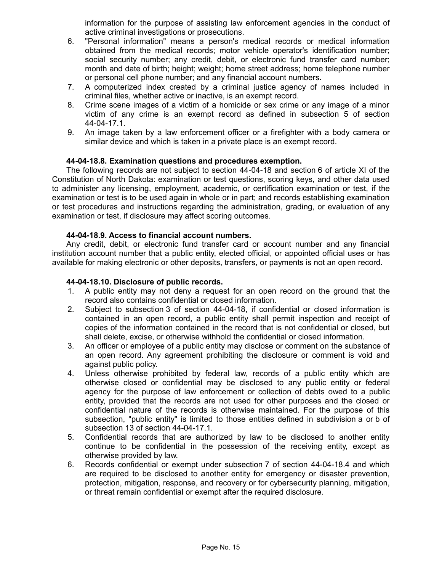information for the purpose of assisting law enforcement agencies in the conduct of active criminal investigations or prosecutions.

- 6. "Personal information" means a person's medical records or medical information obtained from the medical records; motor vehicle operator's identification number; social security number; any credit, debit, or electronic fund transfer card number; month and date of birth; height; weight; home street address; home telephone number or personal cell phone number; and any financial account numbers.
- 7. A computerized index created by a criminal justice agency of names included in criminal files, whether active or inactive, is an exempt record.
- 8. Crime scene images of a victim of a homicide or sex crime or any image of a minor victim of any crime is an exempt record as defined in subsection 5 of section 44-04-17.1.
- 9. An image taken by a law enforcement officer or a firefighter with a body camera or similar device and which is taken in a private place is an exempt record.

## **44-04-18.8. Examination questions and procedures exemption.**

The following records are not subject to section 44-04-18 and section 6 of article XI of the Constitution of North Dakota: examination or test questions, scoring keys, and other data used to administer any licensing, employment, academic, or certification examination or test, if the examination or test is to be used again in whole or in part; and records establishing examination or test procedures and instructions regarding the administration, grading, or evaluation of any examination or test, if disclosure may affect scoring outcomes.

### **44-04-18.9. Access to financial account numbers.**

Any credit, debit, or electronic fund transfer card or account number and any financial institution account number that a public entity, elected official, or appointed official uses or has available for making electronic or other deposits, transfers, or payments is not an open record.

## **44-04-18.10. Disclosure of public records.**

- 1. A public entity may not deny a request for an open record on the ground that the record also contains confidential or closed information.
- 2. Subject to subsection 3 of section 44-04-18, if confidential or closed information is contained in an open record, a public entity shall permit inspection and receipt of copies of the information contained in the record that is not confidential or closed, but shall delete, excise, or otherwise withhold the confidential or closed information.
- 3. An officer or employee of a public entity may disclose or comment on the substance of an open record. Any agreement prohibiting the disclosure or comment is void and against public policy.
- 4. Unless otherwise prohibited by federal law, records of a public entity which are otherwise closed or confidential may be disclosed to any public entity or federal agency for the purpose of law enforcement or collection of debts owed to a public entity, provided that the records are not used for other purposes and the closed or confidential nature of the records is otherwise maintained. For the purpose of this subsection, "public entity" is limited to those entities defined in subdivision a or b of subsection 13 of section 44-04-17.1.
- 5. Confidential records that are authorized by law to be disclosed to another entity continue to be confidential in the possession of the receiving entity, except as otherwise provided by law.
- 6. Records confidential or exempt under subsection 7 of section 44-04-18.4 and which are required to be disclosed to another entity for emergency or disaster prevention, protection, mitigation, response, and recovery or for cybersecurity planning, mitigation, or threat remain confidential or exempt after the required disclosure.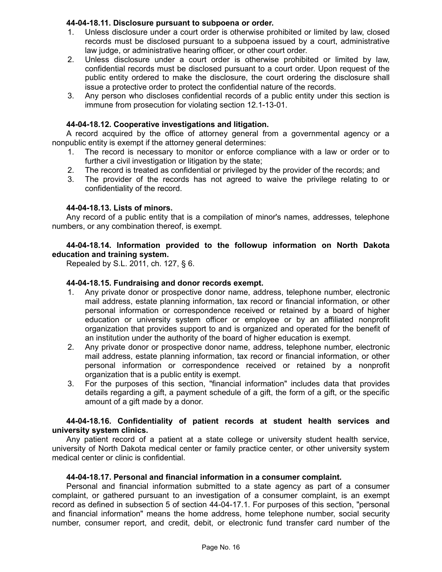## **44-04-18.11. Disclosure pursuant to subpoena or order.**

- 1. Unless disclosure under a court order is otherwise prohibited or limited by law, closed records must be disclosed pursuant to a subpoena issued by a court, administrative law judge, or administrative hearing officer, or other court order.
- 2. Unless disclosure under a court order is otherwise prohibited or limited by law, confidential records must be disclosed pursuant to a court order. Upon request of the public entity ordered to make the disclosure, the court ordering the disclosure shall issue a protective order to protect the confidential nature of the records.
- 3. Any person who discloses confidential records of a public entity under this section is immune from prosecution for violating section 12.1-13-01.

## **44-04-18.12. Cooperative investigations and litigation.**

A record acquired by the office of attorney general from a governmental agency or a nonpublic entity is exempt if the attorney general determines:

- 1. The record is necessary to monitor or enforce compliance with a law or order or to further a civil investigation or litigation by the state;
- 2. The record is treated as confidential or privileged by the provider of the records; and
- 3. The provider of the records has not agreed to waive the privilege relating to or confidentiality of the record.

### **44-04-18.13. Lists of minors.**

Any record of a public entity that is a compilation of minor's names, addresses, telephone numbers, or any combination thereof, is exempt.

## **44-04-18.14. Information provided to the followup information on North Dakota education and training system.**

Repealed by S.L. 2011, ch. 127, § 6.

## **44-04-18.15. Fundraising and donor records exempt.**

- 1. Any private donor or prospective donor name, address, telephone number, electronic mail address, estate planning information, tax record or financial information, or other personal information or correspondence received or retained by a board of higher education or university system officer or employee or by an affiliated nonprofit organization that provides support to and is organized and operated for the benefit of an institution under the authority of the board of higher education is exempt.
- 2. Any private donor or prospective donor name, address, telephone number, electronic mail address, estate planning information, tax record or financial information, or other personal information or correspondence received or retained by a nonprofit organization that is a public entity is exempt.
- 3. For the purposes of this section, "financial information" includes data that provides details regarding a gift, a payment schedule of a gift, the form of a gift, or the specific amount of a gift made by a donor.

### **44-04-18.16. Confidentiality of patient records at student health services and university system clinics.**

Any patient record of a patient at a state college or university student health service, university of North Dakota medical center or family practice center, or other university system medical center or clinic is confidential.

### **44-04-18.17. Personal and financial information in a consumer complaint.**

Personal and financial information submitted to a state agency as part of a consumer complaint, or gathered pursuant to an investigation of a consumer complaint, is an exempt record as defined in subsection 5 of section 44-04-17.1. For purposes of this section, "personal and financial information" means the home address, home telephone number, social security number, consumer report, and credit, debit, or electronic fund transfer card number of the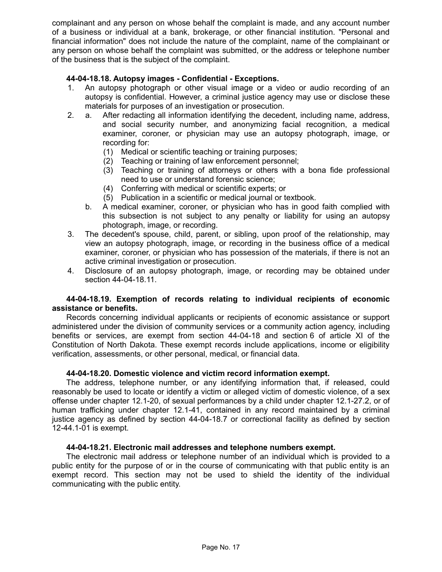complainant and any person on whose behalf the complaint is made, and any account number of a business or individual at a bank, brokerage, or other financial institution. "Personal and financial information" does not include the nature of the complaint, name of the complainant or any person on whose behalf the complaint was submitted, or the address or telephone number of the business that is the subject of the complaint.

# **44-04-18.18. Autopsy images - Confidential - Exceptions.**

- 1. An autopsy photograph or other visual image or a video or audio recording of an autopsy is confidential. However, a criminal justice agency may use or disclose these materials for purposes of an investigation or prosecution.
- 2. a. After redacting all information identifying the decedent, including name, address, and social security number, and anonymizing facial recognition, a medical examiner, coroner, or physician may use an autopsy photograph, image, or recording for:
	- (1) Medical or scientific teaching or training purposes;
	- (2) Teaching or training of law enforcement personnel;
	- (3) Teaching or training of attorneys or others with a bona fide professional need to use or understand forensic science;
	- (4) Conferring with medical or scientific experts; or
	- (5) Publication in a scientific or medical journal or textbook.
	- b. A medical examiner, coroner, or physician who has in good faith complied with this subsection is not subject to any penalty or liability for using an autopsy photograph, image, or recording.
- 3. The decedent's spouse, child, parent, or sibling, upon proof of the relationship, may view an autopsy photograph, image, or recording in the business office of a medical examiner, coroner, or physician who has possession of the materials, if there is not an active criminal investigation or prosecution.
- 4. Disclosure of an autopsy photograph, image, or recording may be obtained under section 44-04-18.11.

## **44-04-18.19. Exemption of records relating to individual recipients of economic assistance or benefits.**

Records concerning individual applicants or recipients of economic assistance or support administered under the division of community services or a community action agency, including benefits or services, are exempt from section 44-04-18 and section 6 of article XI of the Constitution of North Dakota. These exempt records include applications, income or eligibility verification, assessments, or other personal, medical, or financial data.

### **44-04-18.20. Domestic violence and victim record information exempt.**

The address, telephone number, or any identifying information that, if released, could reasonably be used to locate or identify a victim or alleged victim of domestic violence, of a sex offense under chapter 12.1-20, of sexual performances by a child under chapter 12.1-27.2, or of human trafficking under chapter 12.1-41, contained in any record maintained by a criminal justice agency as defined by section 44-04-18.7 or correctional facility as defined by section 12-44.1-01 is exempt.

### **44-04-18.21. Electronic mail addresses and telephone numbers exempt.**

The electronic mail address or telephone number of an individual which is provided to a public entity for the purpose of or in the course of communicating with that public entity is an exempt record. This section may not be used to shield the identity of the individual communicating with the public entity.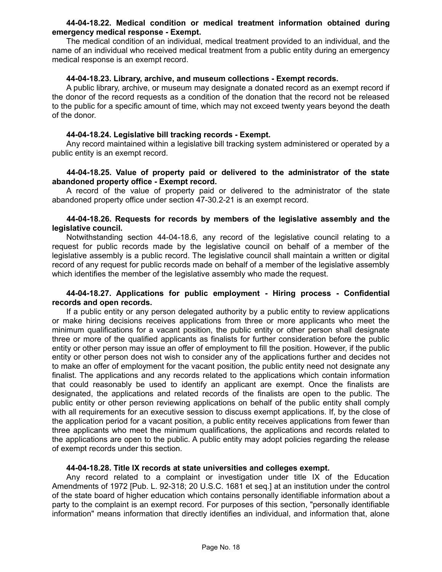### **44-04-18.22. Medical condition or medical treatment information obtained during emergency medical response - Exempt.**

The medical condition of an individual, medical treatment provided to an individual, and the name of an individual who received medical treatment from a public entity during an emergency medical response is an exempt record.

### **44-04-18.23. Library, archive, and museum collections - Exempt records.**

A public library, archive, or museum may designate a donated record as an exempt record if the donor of the record requests as a condition of the donation that the record not be released to the public for a specific amount of time, which may not exceed twenty years beyond the death of the donor.

## **44-04-18.24. Legislative bill tracking records - Exempt.**

Any record maintained within a legislative bill tracking system administered or operated by a public entity is an exempt record.

## **44-04-18.25. Value of property paid or delivered to the administrator of the state abandoned property office - Exempt record.**

A record of the value of property paid or delivered to the administrator of the state abandoned property office under section 47-30.2-21 is an exempt record.

### **44-04-18.26. Requests for records by members of the legislative assembly and the legislative council.**

Notwithstanding section 44-04-18.6, any record of the legislative council relating to a request for public records made by the legislative council on behalf of a member of the legislative assembly is a public record. The legislative council shall maintain a written or digital record of any request for public records made on behalf of a member of the legislative assembly which identifies the member of the legislative assembly who made the request.

### **44-04-18.27. Applications for public employment - Hiring process - Confidential records and open records.**

If a public entity or any person delegated authority by a public entity to review applications or make hiring decisions receives applications from three or more applicants who meet the minimum qualifications for a vacant position, the public entity or other person shall designate three or more of the qualified applicants as finalists for further consideration before the public entity or other person may issue an offer of employment to fill the position. However, if the public entity or other person does not wish to consider any of the applications further and decides not to make an offer of employment for the vacant position, the public entity need not designate any finalist. The applications and any records related to the applications which contain information that could reasonably be used to identify an applicant are exempt. Once the finalists are designated, the applications and related records of the finalists are open to the public. The public entity or other person reviewing applications on behalf of the public entity shall comply with all requirements for an executive session to discuss exempt applications. If, by the close of the application period for a vacant position, a public entity receives applications from fewer than three applicants who meet the minimum qualifications, the applications and records related to the applications are open to the public. A public entity may adopt policies regarding the release of exempt records under this section.

### **44-04-18.28. Title IX records at state universities and colleges exempt.**

Any record related to a complaint or investigation under title IX of the Education Amendments of 1972 [Pub. L. 92-318; 20 U.S.C. 1681 et seq.] at an institution under the control of the state board of higher education which contains personally identifiable information about a party to the complaint is an exempt record. For purposes of this section, "personally identifiable information" means information that directly identifies an individual, and information that, alone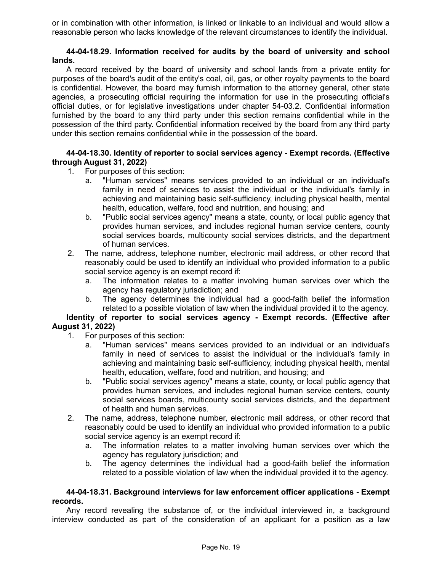or in combination with other information, is linked or linkable to an individual and would allow a reasonable person who lacks knowledge of the relevant circumstances to identify the individual.

## **44-04-18.29. Information received for audits by the board of university and school lands.**

A record received by the board of university and school lands from a private entity for purposes of the board's audit of the entity's coal, oil, gas, or other royalty payments to the board is confidential. However, the board may furnish information to the attorney general, other state agencies, a prosecuting official requiring the information for use in the prosecuting official's official duties, or for legislative investigations under chapter 54-03.2. Confidential information furnished by the board to any third party under this section remains confidential while in the possession of the third party. Confidential information received by the board from any third party under this section remains confidential while in the possession of the board.

# **44-04-18.30. Identity of reporter to social services agency - Exempt records. (Effective through August 31, 2022)**

- 1. For purposes of this section:
	- a. "Human services" means services provided to an individual or an individual's family in need of services to assist the individual or the individual's family in achieving and maintaining basic self-sufficiency, including physical health, mental health, education, welfare, food and nutrition, and housing; and
	- b. "Public social services agency" means a state, county, or local public agency that provides human services, and includes regional human service centers, county social services boards, multicounty social services districts, and the department of human services.
- 2. The name, address, telephone number, electronic mail address, or other record that reasonably could be used to identify an individual who provided information to a public social service agency is an exempt record if:
	- a. The information relates to a matter involving human services over which the agency has regulatory jurisdiction; and
	- b. The agency determines the individual had a good-faith belief the information related to a possible violation of law when the individual provided it to the agency.

# **Identity of reporter to social services agency - Exempt records. (Effective after August 31, 2022)**

- 1. For purposes of this section:
	- a. "Human services" means services provided to an individual or an individual's family in need of services to assist the individual or the individual's family in achieving and maintaining basic self-sufficiency, including physical health, mental health, education, welfare, food and nutrition, and housing; and
	- b. "Public social services agency" means a state, county, or local public agency that provides human services, and includes regional human service centers, county social services boards, multicounty social services districts, and the department of health and human services.
- 2. The name, address, telephone number, electronic mail address, or other record that reasonably could be used to identify an individual who provided information to a public social service agency is an exempt record if:
	- a. The information relates to a matter involving human services over which the agency has regulatory jurisdiction; and
	- b. The agency determines the individual had a good-faith belief the information related to a possible violation of law when the individual provided it to the agency.

### **44-04-18.31. Background interviews for law enforcement officer applications - Exempt records.**

Any record revealing the substance of, or the individual interviewed in, a background interview conducted as part of the consideration of an applicant for a position as a law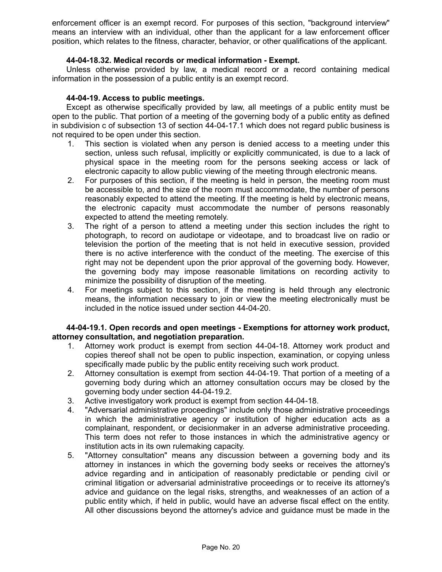enforcement officer is an exempt record. For purposes of this section, "background interview" means an interview with an individual, other than the applicant for a law enforcement officer position, which relates to the fitness, character, behavior, or other qualifications of the applicant.

## **44-04-18.32. Medical records or medical information - Exempt.**

Unless otherwise provided by law, a medical record or a record containing medical information in the possession of a public entity is an exempt record.

## **44-04-19. Access to public meetings.**

Except as otherwise specifically provided by law, all meetings of a public entity must be open to the public. That portion of a meeting of the governing body of a public entity as defined in subdivision c of subsection 13 of section 44-04-17.1 which does not regard public business is not required to be open under this section.

- 1. This section is violated when any person is denied access to a meeting under this section, unless such refusal, implicitly or explicitly communicated, is due to a lack of physical space in the meeting room for the persons seeking access or lack of electronic capacity to allow public viewing of the meeting through electronic means.
- 2. For purposes of this section, if the meeting is held in person, the meeting room must be accessible to, and the size of the room must accommodate, the number of persons reasonably expected to attend the meeting. If the meeting is held by electronic means, the electronic capacity must accommodate the number of persons reasonably expected to attend the meeting remotely.
- 3. The right of a person to attend a meeting under this section includes the right to photograph, to record on audiotape or videotape, and to broadcast live on radio or television the portion of the meeting that is not held in executive session, provided there is no active interference with the conduct of the meeting. The exercise of this right may not be dependent upon the prior approval of the governing body. However, the governing body may impose reasonable limitations on recording activity to minimize the possibility of disruption of the meeting.
- 4. For meetings subject to this section, if the meeting is held through any electronic means, the information necessary to join or view the meeting electronically must be included in the notice issued under section 44-04-20.

## **44-04-19.1. Open records and open meetings - Exemptions for attorney work product, attorney consultation, and negotiation preparation.**

- 1. Attorney work product is exempt from section 44-04-18. Attorney work product and copies thereof shall not be open to public inspection, examination, or copying unless specifically made public by the public entity receiving such work product.
- 2. Attorney consultation is exempt from section 44-04-19. That portion of a meeting of a governing body during which an attorney consultation occurs may be closed by the governing body under section 44-04-19.2.
- 3. Active investigatory work product is exempt from section 44-04-18.
- 4. "Adversarial administrative proceedings" include only those administrative proceedings in which the administrative agency or institution of higher education acts as a complainant, respondent, or decisionmaker in an adverse administrative proceeding. This term does not refer to those instances in which the administrative agency or institution acts in its own rulemaking capacity.
- 5. "Attorney consultation" means any discussion between a governing body and its attorney in instances in which the governing body seeks or receives the attorney's advice regarding and in anticipation of reasonably predictable or pending civil or criminal litigation or adversarial administrative proceedings or to receive its attorney's advice and guidance on the legal risks, strengths, and weaknesses of an action of a public entity which, if held in public, would have an adverse fiscal effect on the entity. All other discussions beyond the attorney's advice and guidance must be made in the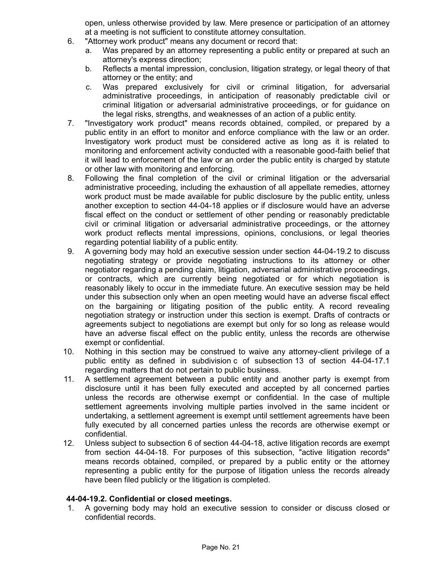open, unless otherwise provided by law. Mere presence or participation of an attorney at a meeting is not sufficient to constitute attorney consultation.

- 6. "Attorney work product" means any document or record that:
	- a. Was prepared by an attorney representing a public entity or prepared at such an attorney's express direction;
	- b. Reflects a mental impression, conclusion, litigation strategy, or legal theory of that attorney or the entity; and
	- c. Was prepared exclusively for civil or criminal litigation, for adversarial administrative proceedings, in anticipation of reasonably predictable civil or criminal litigation or adversarial administrative proceedings, or for guidance on the legal risks, strengths, and weaknesses of an action of a public entity.
- 7. "Investigatory work product" means records obtained, compiled, or prepared by a public entity in an effort to monitor and enforce compliance with the law or an order. Investigatory work product must be considered active as long as it is related to monitoring and enforcement activity conducted with a reasonable good-faith belief that it will lead to enforcement of the law or an order the public entity is charged by statute or other law with monitoring and enforcing.
- 8. Following the final completion of the civil or criminal litigation or the adversarial administrative proceeding, including the exhaustion of all appellate remedies, attorney work product must be made available for public disclosure by the public entity, unless another exception to section 44-04-18 applies or if disclosure would have an adverse fiscal effect on the conduct or settlement of other pending or reasonably predictable civil or criminal litigation or adversarial administrative proceedings, or the attorney work product reflects mental impressions, opinions, conclusions, or legal theories regarding potential liability of a public entity.
- 9. A governing body may hold an executive session under section 44-04-19.2 to discuss negotiating strategy or provide negotiating instructions to its attorney or other negotiator regarding a pending claim, litigation, adversarial administrative proceedings, or contracts, which are currently being negotiated or for which negotiation is reasonably likely to occur in the immediate future. An executive session may be held under this subsection only when an open meeting would have an adverse fiscal effect on the bargaining or litigating position of the public entity. A record revealing negotiation strategy or instruction under this section is exempt. Drafts of contracts or agreements subject to negotiations are exempt but only for so long as release would have an adverse fiscal effect on the public entity, unless the records are otherwise exempt or confidential.
- 10. Nothing in this section may be construed to waive any attorney-client privilege of a public entity as defined in subdivision c of subsection 13 of section 44-04-17.1 regarding matters that do not pertain to public business.
- 11. A settlement agreement between a public entity and another party is exempt from disclosure until it has been fully executed and accepted by all concerned parties unless the records are otherwise exempt or confidential. In the case of multiple settlement agreements involving multiple parties involved in the same incident or undertaking, a settlement agreement is exempt until settlement agreements have been fully executed by all concerned parties unless the records are otherwise exempt or confidential.
- 12. Unless subject to subsection 6 of section 44-04-18, active litigation records are exempt from section 44-04-18. For purposes of this subsection, "active litigation records" means records obtained, compiled, or prepared by a public entity or the attorney representing a public entity for the purpose of litigation unless the records already have been filed publicly or the litigation is completed.

# **44-04-19.2. Confidential or closed meetings.**

1. A governing body may hold an executive session to consider or discuss closed or confidential records.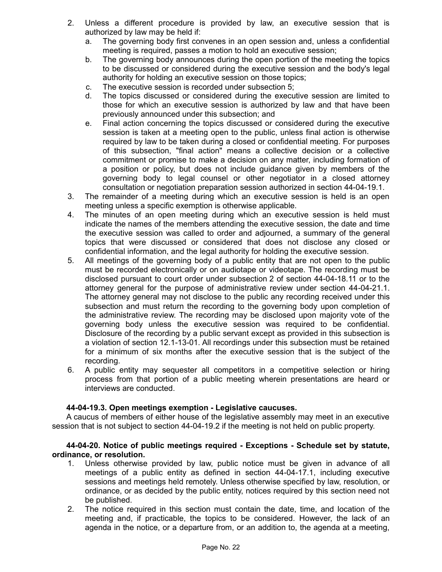- 2. Unless a different procedure is provided by law, an executive session that is authorized by law may be held if:
	- a. The governing body first convenes in an open session and, unless a confidential meeting is required, passes a motion to hold an executive session;
	- b. The governing body announces during the open portion of the meeting the topics to be discussed or considered during the executive session and the body's legal authority for holding an executive session on those topics;
	- c. The executive session is recorded under subsection 5;
	- d. The topics discussed or considered during the executive session are limited to those for which an executive session is authorized by law and that have been previously announced under this subsection; and
	- e. Final action concerning the topics discussed or considered during the executive session is taken at a meeting open to the public, unless final action is otherwise required by law to be taken during a closed or confidential meeting. For purposes of this subsection, "final action" means a collective decision or a collective commitment or promise to make a decision on any matter, including formation of a position or policy, but does not include guidance given by members of the governing body to legal counsel or other negotiator in a closed attorney consultation or negotiation preparation session authorized in section 44-04-19.1.
- 3. The remainder of a meeting during which an executive session is held is an open meeting unless a specific exemption is otherwise applicable.
- 4. The minutes of an open meeting during which an executive session is held must indicate the names of the members attending the executive session, the date and time the executive session was called to order and adjourned, a summary of the general topics that were discussed or considered that does not disclose any closed or confidential information, and the legal authority for holding the executive session.
- 5. All meetings of the governing body of a public entity that are not open to the public must be recorded electronically or on audiotape or videotape. The recording must be disclosed pursuant to court order under subsection 2 of section 44-04-18.11 or to the attorney general for the purpose of administrative review under section 44-04-21.1. The attorney general may not disclose to the public any recording received under this subsection and must return the recording to the governing body upon completion of the administrative review. The recording may be disclosed upon majority vote of the governing body unless the executive session was required to be confidential. Disclosure of the recording by a public servant except as provided in this subsection is a violation of section 12.1-13-01. All recordings under this subsection must be retained for a minimum of six months after the executive session that is the subject of the recording.
- 6. A public entity may sequester all competitors in a competitive selection or hiring process from that portion of a public meeting wherein presentations are heard or interviews are conducted.

# **44-04-19.3. Open meetings exemption - Legislative caucuses.**

A caucus of members of either house of the legislative assembly may meet in an executive session that is not subject to section 44-04-19.2 if the meeting is not held on public property.

## **44-04-20. Notice of public meetings required - Exceptions - Schedule set by statute, ordinance, or resolution.**

- 1. Unless otherwise provided by law, public notice must be given in advance of all meetings of a public entity as defined in section 44-04-17.1, including executive sessions and meetings held remotely. Unless otherwise specified by law, resolution, or ordinance, or as decided by the public entity, notices required by this section need not be published.
- 2. The notice required in this section must contain the date, time, and location of the meeting and, if practicable, the topics to be considered. However, the lack of an agenda in the notice, or a departure from, or an addition to, the agenda at a meeting,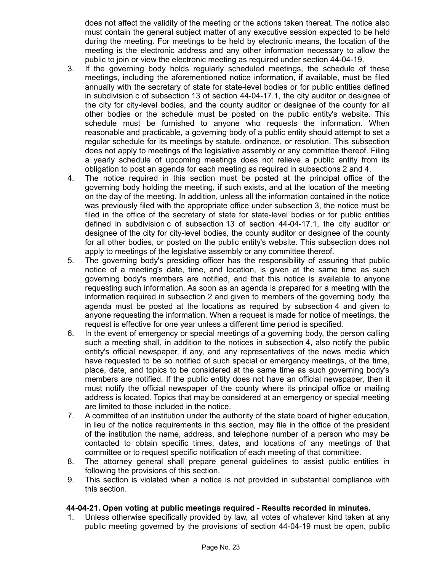does not affect the validity of the meeting or the actions taken thereat. The notice also must contain the general subject matter of any executive session expected to be held during the meeting. For meetings to be held by electronic means, the location of the meeting is the electronic address and any other information necessary to allow the public to join or view the electronic meeting as required under section 44-04-19.

- 3. If the governing body holds regularly scheduled meetings, the schedule of these meetings, including the aforementioned notice information, if available, must be filed annually with the secretary of state for state-level bodies or for public entities defined in subdivision c of subsection 13 of section 44-04-17.1, the city auditor or designee of the city for city-level bodies, and the county auditor or designee of the county for all other bodies or the schedule must be posted on the public entity's website. This schedule must be furnished to anyone who requests the information. When reasonable and practicable, a governing body of a public entity should attempt to set a regular schedule for its meetings by statute, ordinance, or resolution. This subsection does not apply to meetings of the legislative assembly or any committee thereof. Filing a yearly schedule of upcoming meetings does not relieve a public entity from its obligation to post an agenda for each meeting as required in subsections 2 and 4.
- 4. The notice required in this section must be posted at the principal office of the governing body holding the meeting, if such exists, and at the location of the meeting on the day of the meeting. In addition, unless all the information contained in the notice was previously filed with the appropriate office under subsection 3, the notice must be filed in the office of the secretary of state for state-level bodies or for public entities defined in subdivision c of subsection 13 of section 44-04-17.1, the city auditor or designee of the city for city-level bodies, the county auditor or designee of the county for all other bodies, or posted on the public entity's website. This subsection does not apply to meetings of the legislative assembly or any committee thereof.
- 5. The governing body's presiding officer has the responsibility of assuring that public notice of a meeting's date, time, and location, is given at the same time as such governing body's members are notified, and that this notice is available to anyone requesting such information. As soon as an agenda is prepared for a meeting with the information required in subsection 2 and given to members of the governing body, the agenda must be posted at the locations as required by subsection 4 and given to anyone requesting the information. When a request is made for notice of meetings, the request is effective for one year unless a different time period is specified.
- 6. In the event of emergency or special meetings of a governing body, the person calling such a meeting shall, in addition to the notices in subsection 4, also notify the public entity's official newspaper, if any, and any representatives of the news media which have requested to be so notified of such special or emergency meetings, of the time, place, date, and topics to be considered at the same time as such governing body's members are notified. If the public entity does not have an official newspaper, then it must notify the official newspaper of the county where its principal office or mailing address is located. Topics that may be considered at an emergency or special meeting are limited to those included in the notice.
- 7. A committee of an institution under the authority of the state board of higher education, in lieu of the notice requirements in this section, may file in the office of the president of the institution the name, address, and telephone number of a person who may be contacted to obtain specific times, dates, and locations of any meetings of that committee or to request specific notification of each meeting of that committee.
- 8. The attorney general shall prepare general guidelines to assist public entities in following the provisions of this section.
- 9. This section is violated when a notice is not provided in substantial compliance with this section.

# **44-04-21. Open voting at public meetings required - Results recorded in minutes.**

1. Unless otherwise specifically provided by law, all votes of whatever kind taken at any public meeting governed by the provisions of section 44-04-19 must be open, public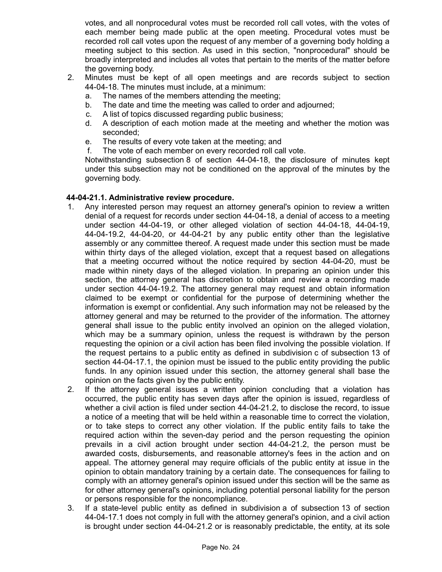votes, and all nonprocedural votes must be recorded roll call votes, with the votes of each member being made public at the open meeting. Procedural votes must be recorded roll call votes upon the request of any member of a governing body holding a meeting subject to this section. As used in this section, "nonprocedural" should be broadly interpreted and includes all votes that pertain to the merits of the matter before the governing body.

- 2. Minutes must be kept of all open meetings and are records subject to section 44-04-18. The minutes must include, at a minimum:
	- a. The names of the members attending the meeting;
	- b. The date and time the meeting was called to order and adjourned;
	- c. A list of topics discussed regarding public business;
	- d. A description of each motion made at the meeting and whether the motion was seconded;
	- e. The results of every vote taken at the meeting; and
	- f. The vote of each member on every recorded roll call vote.

Notwithstanding subsection 8 of section 44-04-18, the disclosure of minutes kept under this subsection may not be conditioned on the approval of the minutes by the governing body.

### **44-04-21.1. Administrative review procedure.**

- 1. Any interested person may request an attorney general's opinion to review a written denial of a request for records under section 44-04-18, a denial of access to a meeting under section 44-04-19, or other alleged violation of section 44-04-18, 44-04-19, 44-04-19.2, 44-04-20, or 44-04-21 by any public entity other than the legislative assembly or any committee thereof. A request made under this section must be made within thirty days of the alleged violation, except that a request based on allegations that a meeting occurred without the notice required by section 44-04-20, must be made within ninety days of the alleged violation. In preparing an opinion under this section, the attorney general has discretion to obtain and review a recording made under section 44-04-19.2. The attorney general may request and obtain information claimed to be exempt or confidential for the purpose of determining whether the information is exempt or confidential. Any such information may not be released by the attorney general and may be returned to the provider of the information. The attorney general shall issue to the public entity involved an opinion on the alleged violation, which may be a summary opinion, unless the request is withdrawn by the person requesting the opinion or a civil action has been filed involving the possible violation. If the request pertains to a public entity as defined in subdivision c of subsection 13 of section 44-04-17.1, the opinion must be issued to the public entity providing the public funds. In any opinion issued under this section, the attorney general shall base the opinion on the facts given by the public entity.
- 2. If the attorney general issues a written opinion concluding that a violation has occurred, the public entity has seven days after the opinion is issued, regardless of whether a civil action is filed under section 44-04-21.2, to disclose the record, to issue a notice of a meeting that will be held within a reasonable time to correct the violation, or to take steps to correct any other violation. If the public entity fails to take the required action within the seven-day period and the person requesting the opinion prevails in a civil action brought under section 44-04-21.2, the person must be awarded costs, disbursements, and reasonable attorney's fees in the action and on appeal. The attorney general may require officials of the public entity at issue in the opinion to obtain mandatory training by a certain date. The consequences for failing to comply with an attorney general's opinion issued under this section will be the same as for other attorney general's opinions, including potential personal liability for the person or persons responsible for the noncompliance.
- 3. If a state-level public entity as defined in subdivision a of subsection 13 of section 44-04-17.1 does not comply in full with the attorney general's opinion, and a civil action is brought under section 44-04-21.2 or is reasonably predictable, the entity, at its sole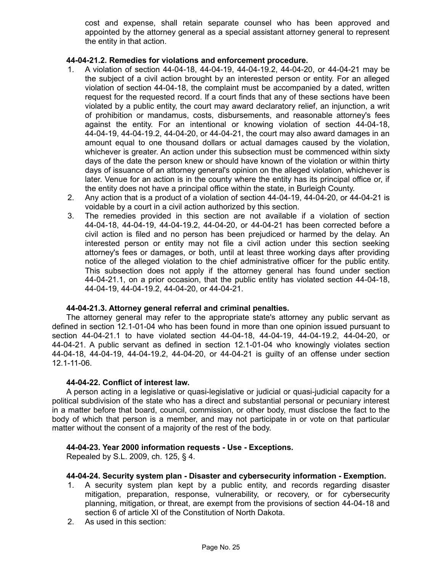cost and expense, shall retain separate counsel who has been approved and appointed by the attorney general as a special assistant attorney general to represent the entity in that action.

### **44-04-21.2. Remedies for violations and enforcement procedure.**

- 1. A violation of section 44-04-18, 44-04-19, 44-04-19.2, 44-04-20, or 44-04-21 may be the subject of a civil action brought by an interested person or entity. For an alleged violation of section 44-04-18, the complaint must be accompanied by a dated, written request for the requested record. If a court finds that any of these sections have been violated by a public entity, the court may award declaratory relief, an injunction, a writ of prohibition or mandamus, costs, disbursements, and reasonable attorney's fees against the entity. For an intentional or knowing violation of section 44-04-18, 44-04-19, 44-04-19.2, 44-04-20, or 44-04-21, the court may also award damages in an amount equal to one thousand dollars or actual damages caused by the violation, whichever is greater. An action under this subsection must be commenced within sixty days of the date the person knew or should have known of the violation or within thirty days of issuance of an attorney general's opinion on the alleged violation, whichever is later. Venue for an action is in the county where the entity has its principal office or, if the entity does not have a principal office within the state, in Burleigh County.
- 2. Any action that is a product of a violation of section 44-04-19, 44-04-20, or 44-04-21 is voidable by a court in a civil action authorized by this section.
- 3. The remedies provided in this section are not available if a violation of section 44-04-18, 44-04-19, 44-04-19.2, 44-04-20, or 44-04-21 has been corrected before a civil action is filed and no person has been prejudiced or harmed by the delay. An interested person or entity may not file a civil action under this section seeking attorney's fees or damages, or both, until at least three working days after providing notice of the alleged violation to the chief administrative officer for the public entity. This subsection does not apply if the attorney general has found under section 44-04-21.1, on a prior occasion, that the public entity has violated section 44-04-18, 44-04-19, 44-04-19.2, 44-04-20, or 44-04-21.

# **44-04-21.3. Attorney general referral and criminal penalties.**

The attorney general may refer to the appropriate state's attorney any public servant as defined in section 12.1-01-04 who has been found in more than one opinion issued pursuant to section 44-04-21.1 to have violated section 44-04-18, 44-04-19, 44-04-19.2, 44-04-20, or 44-04-21. A public servant as defined in section 12.1-01-04 who knowingly violates section 44-04-18, 44-04-19, 44-04-19.2, 44-04-20, or 44-04-21 is guilty of an offense under section 12.1-11-06.

### **44-04-22. Conflict of interest law.**

A person acting in a legislative or quasi-legislative or judicial or quasi-judicial capacity for a political subdivision of the state who has a direct and substantial personal or pecuniary interest in a matter before that board, council, commission, or other body, must disclose the fact to the body of which that person is a member, and may not participate in or vote on that particular matter without the consent of a majority of the rest of the body.

### **44-04-23. Year 2000 information requests - Use - Exceptions.**

Repealed by S.L. 2009, ch. 125, § 4.

### **44-04-24. Security system plan - Disaster and cybersecurity information - Exemption.**

- 1. A security system plan kept by a public entity, and records regarding disaster mitigation, preparation, response, vulnerability, or recovery, or for cybersecurity planning, mitigation, or threat, are exempt from the provisions of section 44-04-18 and section 6 of article XI of the Constitution of North Dakota.
- 2. As used in this section: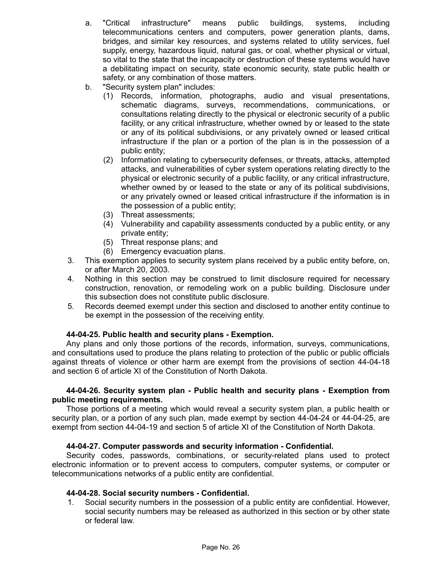- a. "Critical infrastructure" means public buildings, systems, including telecommunications centers and computers, power generation plants, dams, bridges, and similar key resources, and systems related to utility services, fuel supply, energy, hazardous liquid, natural gas, or coal, whether physical or virtual, so vital to the state that the incapacity or destruction of these systems would have a debilitating impact on security, state economic security, state public health or safety, or any combination of those matters.
- b. "Security system plan" includes:
	- (1) Records, information, photographs, audio and visual presentations, schematic diagrams, surveys, recommendations, communications, or consultations relating directly to the physical or electronic security of a public facility, or any critical infrastructure, whether owned by or leased to the state or any of its political subdivisions, or any privately owned or leased critical infrastructure if the plan or a portion of the plan is in the possession of a public entity;
	- (2) Information relating to cybersecurity defenses, or threats, attacks, attempted attacks, and vulnerabilities of cyber system operations relating directly to the physical or electronic security of a public facility, or any critical infrastructure, whether owned by or leased to the state or any of its political subdivisions, or any privately owned or leased critical infrastructure if the information is in the possession of a public entity;
	- (3) Threat assessments;
	- (4) Vulnerability and capability assessments conducted by a public entity, or any private entity;
	- (5) Threat response plans; and
	- (6) Emergency evacuation plans.
- 3. This exemption applies to security system plans received by a public entity before, on, or after March 20, 2003.
- 4. Nothing in this section may be construed to limit disclosure required for necessary construction, renovation, or remodeling work on a public building. Disclosure under this subsection does not constitute public disclosure.
- 5. Records deemed exempt under this section and disclosed to another entity continue to be exempt in the possession of the receiving entity.

# **44-04-25. Public health and security plans - Exemption.**

Any plans and only those portions of the records, information, surveys, communications, and consultations used to produce the plans relating to protection of the public or public officials against threats of violence or other harm are exempt from the provisions of section 44-04-18 and section 6 of article XI of the Constitution of North Dakota.

### **44-04-26. Security system plan - Public health and security plans - Exemption from public meeting requirements.**

Those portions of a meeting which would reveal a security system plan, a public health or security plan, or a portion of any such plan, made exempt by section 44-04-24 or 44-04-25, are exempt from section 44-04-19 and section 5 of article XI of the Constitution of North Dakota.

# **44-04-27. Computer passwords and security information - Confidential.**

Security codes, passwords, combinations, or security-related plans used to protect electronic information or to prevent access to computers, computer systems, or computer or telecommunications networks of a public entity are confidential.

### **44-04-28. Social security numbers - Confidential.**

1. Social security numbers in the possession of a public entity are confidential. However, social security numbers may be released as authorized in this section or by other state or federal law.